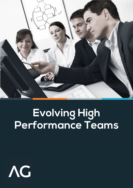

## **Evolving High Performance Teams**